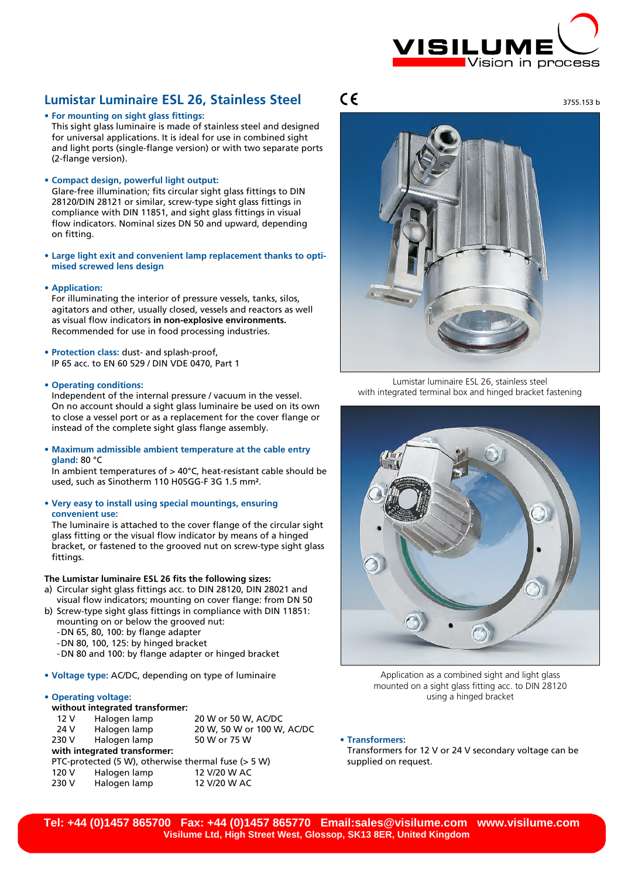

## **Lumistar Luminaire ESL 26, Stainless Steel**

**• For mounting on sight glass fittings:** This sight glass luminaire is made of stainless steel and designed for universal applications. It is ideal for use in combined sight and light ports (single-flange version) or with two separate ports (2-flange version).

**• Compact design, powerful light output:** 

Glare-free illumination; fits circular sight glass fittings to DIN 28120/DIN 28121 or similar, screw-type sight glass fittings in compliance with DIN 11851, and sight glass fittings in visual flow indicators. Nominal sizes DN 50 and upward, depending on fitting.

- **• Large light exit and convenient lamp replacement thanks to optimised screwed lens design**
- **• Application:**

For illuminating the interior of pressure vessels, tanks, silos, agitators and other, usually closed, vessels and reactors as well as visual flow indicators **in non-explosive environments.**  Recommended for use in food processing industries.

- **• Protection class:** dust- and splash-proof, IP 65 acc. to EN 60 529 / DIN VDE 0470, Part 1
- **• Operating conditions:**

Independent of the internal pressure / vacuum in the vessel. On no account should a sight glass luminaire be used on its own to close a vessel port or as a replacement for the cover flange or instead of the complete sight glass flange assembly.

**• Maximum admissible ambient temperature at the cable entry gland:** 80 °C

In ambient temperatures of > 40°C, heat-resistant cable should be used, such as Sinotherm 110 H05GG-F 3G 1.5 mm².

**• Very easy to install using special mountings, ensuring convenient use:**

The luminaire is attached to the cover flange of the circular sight glass fitting or the visual flow indicator by means of a hinged bracket, or fastened to the grooved nut on screw-type sight glass fittings.

## **The Lumistar luminaire ESL 26 fits the following sizes:**

- a) Circular sight glass fittings acc. to DIN 28120, DIN 28021 and visual flow indicators; mounting on cover flange: from DN 50
- b) Screw-type sight glass fittings in compliance with DIN 11851: mounting on or below the grooved nut:
	- -DN 65, 80, 100: by flange adapter
	- -DN 80, 100, 125: by hinged bracket
	- -DN 80 and 100: by flange adapter or hinged bracket
- **• Voltage type:** AC/DC, depending on type of luminaire

## **• Operating voltage:**

**without integrated transformer:** 20 W or 50 W, AC/DC 24 V Halogen lamp 20 W, 50 W or 100 W, AC/DC 230 V Halogen lamp 50 W or 75 W **with integrated transformer:** PTC-protected (5 W), otherwise thermal fuse (> 5 W) 120 V Halogen lamp 12 V/20 W AC 230 V Halogen lamp 12 V/20 W AC

# $\epsilon$

3755.153 b



Lumistar luminaire ESL 26, stainless steel with integrated terminal box and hinged bracket fastening



Application as a combined sight and light glass mounted on a sight glass fitting acc. to DIN 28120 using a hinged bracket

**• Transformers:**

Transformers for 12 V or 24 V secondary voltage can be supplied on request.